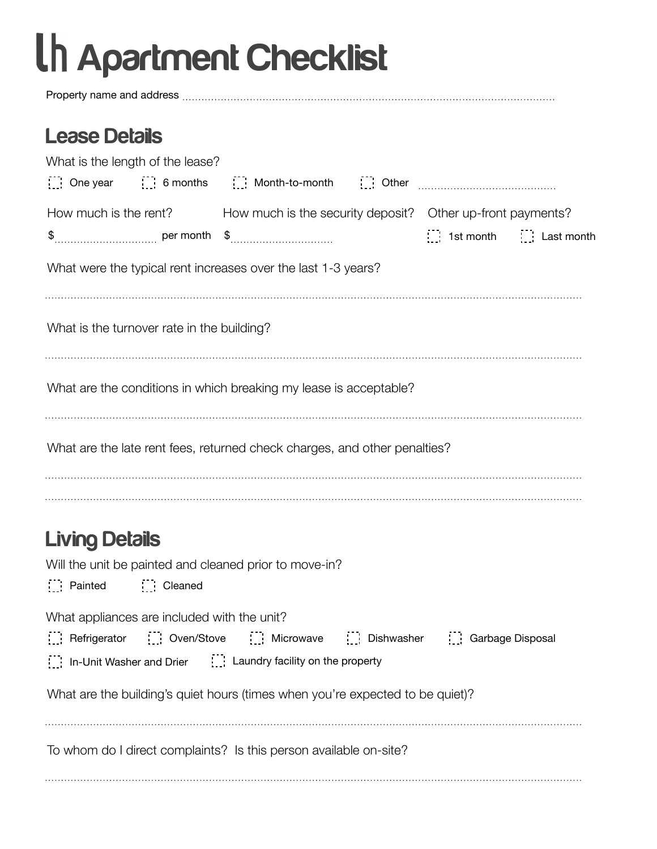# Apartment Checklist

Property name and address

#### Lease Details

| What is the length of the lease?                                                                                                                 |  |                                                                                                                                                                                                                                                                                   |  |                                                                                                    |  |  |  |  |  |
|--------------------------------------------------------------------------------------------------------------------------------------------------|--|-----------------------------------------------------------------------------------------------------------------------------------------------------------------------------------------------------------------------------------------------------------------------------------|--|----------------------------------------------------------------------------------------------------|--|--|--|--|--|
|                                                                                                                                                  |  | $\begin{bmatrix} 1 & 1 \\ 1 & 2 \end{bmatrix}$ One year $\begin{bmatrix} 1 & 1 \\ 1 & 2 \end{bmatrix}$ 6 months $\begin{bmatrix} 1 & 1 \\ 1 & 2 \end{bmatrix}$ Month-to-month $\begin{bmatrix} 1 & 1 \\ 1 & 2 \end{bmatrix}$ Other $\begin{bmatrix} 1 & 1 \\ 1 & 2 \end{bmatrix}$ |  |                                                                                                    |  |  |  |  |  |
|                                                                                                                                                  |  |                                                                                                                                                                                                                                                                                   |  | How much is the rent? How much is the security deposit? Other up-front payments?                   |  |  |  |  |  |
|                                                                                                                                                  |  |                                                                                                                                                                                                                                                                                   |  | $\begin{bmatrix} 1 \\ 2 \end{bmatrix}$ 1st month $\begin{bmatrix} 1 \\ 2 \end{bmatrix}$ Last month |  |  |  |  |  |
|                                                                                                                                                  |  | What were the typical rent increases over the last 1-3 years?                                                                                                                                                                                                                     |  |                                                                                                    |  |  |  |  |  |
| What is the turnover rate in the building?                                                                                                       |  |                                                                                                                                                                                                                                                                                   |  |                                                                                                    |  |  |  |  |  |
| What are the conditions in which breaking my lease is acceptable?                                                                                |  |                                                                                                                                                                                                                                                                                   |  |                                                                                                    |  |  |  |  |  |
| What are the late rent fees, returned check charges, and other penalties?                                                                        |  |                                                                                                                                                                                                                                                                                   |  |                                                                                                    |  |  |  |  |  |
| <b>Living Details</b><br>$\begin{array}{ccc}\n\vdots \\ \vdots\n\end{array}$ Painted $\begin{array}{ccc}\n\vdots \\ \vdots\n\end{array}$ Cleaned |  | Will the unit be painted and cleaned prior to move-in?                                                                                                                                                                                                                            |  |                                                                                                    |  |  |  |  |  |
| What appliances are included with the unit?                                                                                                      |  | Refrigerator [1] Oven/Stove [1] Microwave [1] Dishwasher [1] Garbage Disposal<br>In-Unit Washer and Drier [11] Laundry facility on the property                                                                                                                                   |  |                                                                                                    |  |  |  |  |  |
|                                                                                                                                                  |  | What are the building's quiet hours (times when you're expected to be quiet)?                                                                                                                                                                                                     |  |                                                                                                    |  |  |  |  |  |
|                                                                                                                                                  |  | To whom do I direct complaints? Is this person available on-site?                                                                                                                                                                                                                 |  |                                                                                                    |  |  |  |  |  |